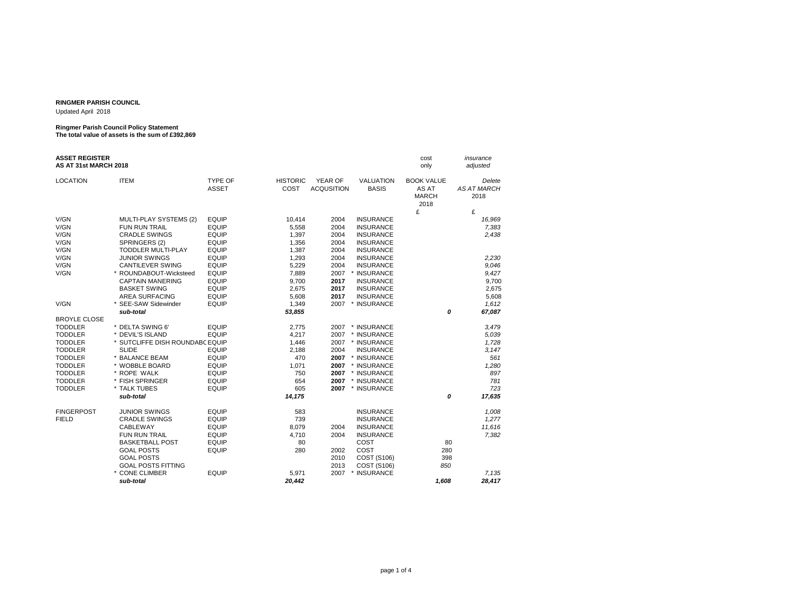## **RINGMER PARISH COUNCIL**

Updated April 2018

## **Ringmer Parish Council Policy Statement The total value of assets is the sum of £392,869**

| <b>ASSET REGISTER</b><br>AS AT 31st MARCH 2018 |                                 |              |                 |                   |                       | cost<br>only         | insurance<br>adjusted |
|------------------------------------------------|---------------------------------|--------------|-----------------|-------------------|-----------------------|----------------------|-----------------------|
| <b>LOCATION</b>                                | <b>ITEM</b>                     | TYPE OF      | <b>HISTORIC</b> | YEAR OF           | <b>VALUATION</b>      | <b>BOOK VALUE</b>    | Delete                |
|                                                |                                 | <b>ASSET</b> | COST            | <b>ACQUSITION</b> | <b>BASIS</b>          | AS AT                | <b>AS AT MARCH</b>    |
|                                                |                                 |              |                 |                   |                       | <b>MARCH</b><br>2018 | 2018                  |
|                                                |                                 |              |                 |                   |                       | £                    | £                     |
| V/GN                                           | MULTI-PLAY SYSTEMS (2)          | <b>EQUIP</b> | 10,414          | 2004              | <b>INSURANCE</b>      |                      | 16,969                |
| V/GN                                           | <b>FUN RUN TRAIL</b>            | <b>EQUIP</b> | 5,558           | 2004              | <b>INSURANCE</b>      |                      | 7,383                 |
| V/GN                                           | <b>CRADLE SWINGS</b>            | <b>EQUIP</b> | 1,397           | 2004              | <b>INSURANCE</b>      |                      | 2,438                 |
| V/GN                                           | SPRINGERS (2)                   | <b>EQUIP</b> | 1,356           | 2004              | <b>INSURANCE</b>      |                      |                       |
| V/GN                                           | <b>TODDLER MULTI-PLAY</b>       | <b>EQUIP</b> | 1,387           | 2004              | <b>INSURANCE</b>      |                      |                       |
| V/GN                                           | <b>JUNIOR SWINGS</b>            | <b>EQUIP</b> | 1,293           | 2004              | <b>INSURANCE</b>      |                      | 2,230                 |
| V/GN                                           | <b>CANTILEVER SWING</b>         | <b>EQUIP</b> | 5,229           | 2004              | <b>INSURANCE</b>      |                      | 9,046                 |
| V/GN                                           | * ROUNDABOUT-Wicksteed          | <b>EQUIP</b> | 7,889           | 2007              | <b>INSURANCE</b>      |                      | 9,427                 |
|                                                | <b>CAPTAIN MANERING</b>         | <b>EQUIP</b> | 9,700           | 2017              | <b>INSURANCE</b>      |                      | 9,700                 |
|                                                | <b>BASKET SWING</b>             | <b>EQUIP</b> | 2,675           | 2017              | <b>INSURANCE</b>      |                      | 2,675                 |
|                                                | <b>AREA SURFACING</b>           | <b>EQUIP</b> | 5,608           | 2017              | <b>INSURANCE</b>      |                      | 5,608                 |
| V/GN                                           | * SEE-SAW Sidewinder            | <b>EQUIP</b> | 1,349           | 2007              | * INSURANCE           |                      | 1,612                 |
|                                                | sub-total                       |              | 53,855          |                   |                       | 0                    | 67,087                |
| <b>BROYLE CLOSE</b>                            |                                 |              |                 |                   |                       |                      |                       |
| <b>TODDLER</b>                                 | * DELTA SWING 6'                | <b>EQUIP</b> | 2,775           | 2007              | * INSURANCE           |                      | 3,479                 |
| <b>TODDLER</b>                                 | * DEVIL'S ISLAND                | <b>EQUIP</b> | 4,217           | 2007              | * INSURANCE           |                      | 5,039                 |
| <b>TODDLER</b>                                 | * SUTCLIFFE DISH ROUNDABC EQUIP |              | 1,446           | 2007              | * INSURANCE           |                      | 1,728                 |
| <b>TODDLER</b>                                 | <b>SLIDE</b>                    | <b>EQUIP</b> | 2,188           | 2004              | <b>INSURANCE</b>      |                      | 3,147                 |
| <b>TODDLER</b>                                 | * BALANCE BEAM                  | <b>EQUIP</b> | 470             | 2007              | * INSURANCE           |                      | 561                   |
| <b>TODDLER</b>                                 | * WOBBLE BOARD                  | <b>EQUIP</b> | 1,071           | 2007              | * INSURANCE           |                      | 1,280                 |
| <b>TODDLER</b>                                 | * ROPE WALK                     | <b>EQUIP</b> | 750             | 2007              | * INSURANCE           |                      | 897                   |
| <b>TODDLER</b>                                 | * FISH SPRINGER                 | <b>EQUIP</b> | 654             | 2007              | * INSURANCE           |                      | 781                   |
| <b>TODDLER</b>                                 | * TALK TUBES                    | <b>EQUIP</b> | 605             | 2007              | * INSURANCE           |                      | 723                   |
|                                                | sub-total                       |              | 14,175          |                   |                       | 0                    | 17,635                |
| <b>FINGERPOST</b>                              | <b>JUNIOR SWINGS</b>            | <b>EQUIP</b> | 583             |                   | <b>INSURANCE</b>      |                      | 1,008                 |
| <b>FIELD</b>                                   | <b>CRADLE SWINGS</b>            | <b>EQUIP</b> | 739             |                   | <b>INSURANCE</b>      |                      | 1,277                 |
|                                                | CABLEWAY                        | <b>EQUIP</b> | 8,079           | 2004              | <b>INSURANCE</b>      |                      | 11,616                |
|                                                | <b>FUN RUN TRAIL</b>            | <b>EQUIP</b> | 4,710           | 2004              | <b>INSURANCE</b>      |                      | 7,382                 |
|                                                | <b>BASKETBALL POST</b>          | <b>EQUIP</b> | 80              |                   | COST                  | 80                   |                       |
|                                                | <b>GOAL POSTS</b>               | <b>EQUIP</b> | 280             | 2002              | COST                  | 280                  |                       |
|                                                | <b>GOAL POSTS</b>               |              |                 | 2010              | COST (S106)           | 398                  |                       |
|                                                | <b>GOAL POSTS FITTING</b>       |              |                 | 2013              | COST (S106)           | 850                  |                       |
|                                                | * CONE CLIMBER                  | <b>EQUIP</b> | 5,971           | 2007              | <b>INSURANCE</b><br>* |                      | 7,135                 |
|                                                | sub-total                       |              | 20,442          |                   |                       | 1,608                | 28,417                |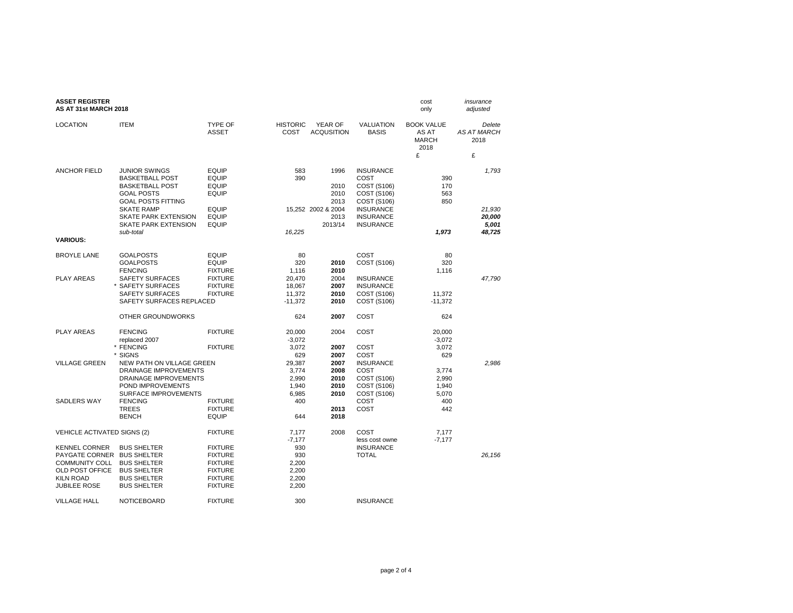| <b>ASSET REGISTER</b><br>AS AT 31st MARCH 2018                                                              |                                                                                                                                                                                |                                                                                                          |                                                            |                                                            |                                                                                                               | cost<br>only                                       | insurance<br>adjusted                |
|-------------------------------------------------------------------------------------------------------------|--------------------------------------------------------------------------------------------------------------------------------------------------------------------------------|----------------------------------------------------------------------------------------------------------|------------------------------------------------------------|------------------------------------------------------------|---------------------------------------------------------------------------------------------------------------|----------------------------------------------------|--------------------------------------|
| <b>LOCATION</b>                                                                                             | <b>ITEM</b>                                                                                                                                                                    | TYPE OF<br><b>ASSET</b>                                                                                  | <b>HISTORIC</b><br>COST                                    | YEAR OF<br><b>ACQUSITION</b>                               | <b>VALUATION</b><br><b>BASIS</b>                                                                              | <b>BOOK VALUE</b><br>AS AT<br><b>MARCH</b><br>2018 | Delete<br><b>AS AT MARCH</b><br>2018 |
|                                                                                                             |                                                                                                                                                                                |                                                                                                          |                                                            |                                                            |                                                                                                               | £                                                  | £                                    |
| <b>ANCHOR FIELD</b>                                                                                         | <b>JUNIOR SWINGS</b><br><b>BASKETBALL POST</b><br><b>BASKETBALL POST</b><br><b>GOAL POSTS</b><br><b>GOAL POSTS FITTING</b><br><b>SKATE RAMP</b><br><b>SKATE PARK EXTENSION</b> | <b>EQUIP</b><br><b>EQUIP</b><br><b>EQUIP</b><br><b>EQUIP</b><br><b>EQUIP</b><br><b>EQUIP</b>             | 583<br>390                                                 | 1996<br>2010<br>2010<br>2013<br>15,252 2002 & 2004<br>2013 | <b>INSURANCE</b><br>COST<br>COST (S106)<br>COST (S106)<br>COST (S106)<br><b>INSURANCE</b><br><b>INSURANCE</b> | 390<br>170<br>563<br>850                           | 1,793<br>21,930<br>20,000            |
|                                                                                                             | <b>SKATE PARK EXTENSION</b>                                                                                                                                                    | <b>EQUIP</b>                                                                                             |                                                            | 2013/14                                                    | <b>INSURANCE</b>                                                                                              |                                                    | 5,001                                |
| <b>VARIOUS:</b>                                                                                             | sub-total                                                                                                                                                                      |                                                                                                          | 16,225                                                     |                                                            |                                                                                                               | 1,973                                              | 48,725                               |
| <b>BROYLE LANE</b>                                                                                          | <b>GOALPOSTS</b>                                                                                                                                                               | <b>EQUIP</b>                                                                                             | 80                                                         |                                                            | COST                                                                                                          | 80                                                 |                                      |
|                                                                                                             | <b>GOALPOSTS</b><br><b>FENCING</b>                                                                                                                                             | <b>EQUIP</b><br><b>FIXTURE</b>                                                                           | 320<br>1,116                                               | 2010<br>2010                                               | COST (S106)                                                                                                   | 320<br>1,116                                       |                                      |
| <b>PLAY AREAS</b>                                                                                           | SAFETY SURFACES<br>* SAFETY SURFACES<br><b>SAFETY SURFACES</b><br>SAFETY SURFACES REPLACED                                                                                     | <b>FIXTURE</b><br><b>FIXTURE</b><br><b>FIXTURE</b>                                                       | 20,470<br>18,067<br>11,372<br>-11,372                      | 2004<br>2007<br>2010<br>2010                               | <b>INSURANCE</b><br><b>INSURANCE</b><br>COST (S106)<br>COST (S106)                                            | 11,372<br>$-11,372$                                | 47,790                               |
|                                                                                                             | OTHER GROUNDWORKS                                                                                                                                                              |                                                                                                          | 624                                                        | 2007                                                       | COST                                                                                                          | 624                                                |                                      |
| <b>PLAY AREAS</b>                                                                                           | <b>FENCING</b><br>replaced 2007<br>* FENCING                                                                                                                                   | <b>FIXTURE</b><br><b>FIXTURE</b>                                                                         | 20,000<br>$-3,072$<br>3,072                                | 2004<br>2007                                               | COST<br>COST                                                                                                  | 20,000<br>$-3,072$<br>3,072                        |                                      |
| <b>VILLAGE GREEN</b>                                                                                        | * SIGNS<br>NEW PATH ON VILLAGE GREEN<br><b>DRAINAGE IMPROVEMENTS</b><br>DRAINAGE IMPROVEMENTS<br>POND IMPROVEMENTS                                                             |                                                                                                          | 629<br>29,387<br>3,774<br>2,990<br>1,940                   | 2007<br>2007<br>2008<br>2010<br>2010                       | COST<br><b>INSURANCE</b><br>COST<br>COST (S106)<br>COST (S106)                                                | 629<br>3,774<br>2,990<br>1,940                     | 2,986                                |
| <b>SADLERS WAY</b>                                                                                          | <b>SURFACE IMPROVEMENTS</b><br><b>FENCING</b><br><b>TREES</b><br><b>BENCH</b>                                                                                                  | <b>FIXTURE</b><br><b>FIXTURE</b><br><b>EQUIP</b>                                                         | 6,985<br>400<br>644                                        | 2010<br>2013<br>2018                                       | COST (S106)<br>COST<br>COST                                                                                   | 5,070<br>400<br>442                                |                                      |
| <b>VEHICLE ACTIVATED SIGNS (2)</b>                                                                          |                                                                                                                                                                                | <b>FIXTURE</b>                                                                                           | 7,177                                                      | 2008                                                       | COST                                                                                                          | 7,177                                              |                                      |
| <b>KENNEL CORNER</b><br><b>COMMUNITY COLL</b><br>OLD POST OFFICE<br><b>KILN ROAD</b><br><b>JUBILEE ROSE</b> | <b>BUS SHELTER</b><br>PAYGATE CORNER BUS SHELTER<br><b>BUS SHELTER</b><br><b>BUS SHELTER</b><br><b>BUS SHELTER</b><br><b>BUS SHELTER</b>                                       | <b>FIXTURE</b><br><b>FIXTURE</b><br><b>FIXTURE</b><br><b>FIXTURE</b><br><b>FIXTURE</b><br><b>FIXTURE</b> | $-7,177$<br>930<br>930<br>2,200<br>2,200<br>2,200<br>2,200 |                                                            | less cost owne<br><b>INSURANCE</b><br><b>TOTAL</b>                                                            | $-7,177$                                           | 26,156                               |
| <b>VILLAGE HALL</b>                                                                                         | <b>NOTICEBOARD</b>                                                                                                                                                             | <b>FIXTURE</b>                                                                                           | 300                                                        |                                                            | <b>INSURANCE</b>                                                                                              |                                                    |                                      |

## page 2 of 4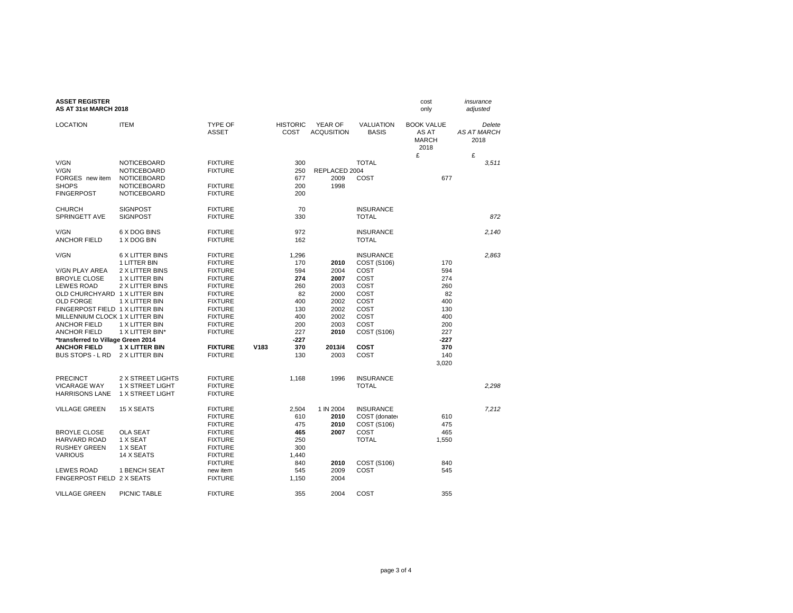| <b>ASSET REGISTER</b><br>AS AT 31st MARCH 2018 |                                   |                                |      |                         |                              |                                  | cost<br>only                                       | insurance<br>adjusted                |
|------------------------------------------------|-----------------------------------|--------------------------------|------|-------------------------|------------------------------|----------------------------------|----------------------------------------------------|--------------------------------------|
| <b>LOCATION</b>                                | <b>ITEM</b>                       | <b>TYPE OF</b><br><b>ASSET</b> |      | <b>HISTORIC</b><br>COST | YEAR OF<br><b>ACQUSITION</b> | <b>VALUATION</b><br><b>BASIS</b> | <b>BOOK VALUE</b><br>AS AT<br><b>MARCH</b><br>2018 | Delete<br><b>AS AT MARCH</b><br>2018 |
|                                                |                                   |                                |      |                         |                              | <b>TOTAL</b>                     | £                                                  | £                                    |
| V/GN                                           | <b>NOTICEBOARD</b>                | <b>FIXTURE</b>                 |      | 300                     |                              |                                  |                                                    | 3,511                                |
| V/GN<br>FORGES new item                        | <b>NOTICEBOARD</b><br>NOTICEBOARD | <b>FIXTURE</b>                 |      | 250<br>677              | REPLACED 2004<br>2009        | COST                             | 677                                                |                                      |
| <b>SHOPS</b>                                   | <b>NOTICEBOARD</b>                | <b>FIXTURE</b>                 |      | 200                     | 1998                         |                                  |                                                    |                                      |
| <b>FINGERPOST</b>                              | NOTICEBOARD                       | <b>FIXTURE</b>                 |      | 200                     |                              |                                  |                                                    |                                      |
| <b>CHURCH</b>                                  | <b>SIGNPOST</b>                   | <b>FIXTURE</b>                 |      | 70                      |                              | <b>INSURANCE</b>                 |                                                    |                                      |
| SPRINGETT AVE                                  | <b>SIGNPOST</b>                   | <b>FIXTURE</b>                 |      | 330                     |                              | <b>TOTAL</b>                     |                                                    | 872                                  |
| V/GN                                           | 6 X DOG BINS                      | <b>FIXTURE</b>                 |      | 972                     |                              | <b>INSURANCE</b>                 |                                                    | 2.140                                |
| <b>ANCHOR FIELD</b>                            | 1 X DOG BIN                       | <b>FIXTURE</b>                 |      | 162                     |                              | <b>TOTAL</b>                     |                                                    |                                      |
| V/GN                                           | <b>6 X LITTER BINS</b>            | <b>FIXTURE</b>                 |      | 1,296                   |                              | <b>INSURANCE</b>                 |                                                    | 2,863                                |
|                                                | 1 LITTER BIN                      | <b>FIXTURE</b>                 |      | 170                     | 2010                         | COST (S106)                      | 170                                                |                                      |
| <b>V/GN PLAY AREA</b>                          | 2 X LITTER BINS                   | <b>FIXTURE</b>                 |      | 594                     | 2004                         | COST                             | 594                                                |                                      |
| <b>BROYLE CLOSE</b>                            | 1 X LITTER BIN                    | <b>FIXTURE</b>                 |      | 274                     | 2007                         | COST                             | 274                                                |                                      |
| <b>LEWES ROAD</b>                              | 2 X LITTER BINS                   | <b>FIXTURE</b>                 |      | 260                     | 2003                         | COST                             | 260                                                |                                      |
| OLD CHURCHYARD 1 X LITTER BIN                  |                                   | <b>FIXTURE</b>                 |      | 82                      | 2000                         | COST                             | 82                                                 |                                      |
| <b>OLD FORGE</b>                               | 1 X LITTER BIN                    | <b>FIXTURE</b>                 |      | 400                     | 2002                         | COST                             | 400                                                |                                      |
| FINGERPOST FIELD 1 X LITTER BIN                |                                   | <b>FIXTURE</b>                 |      | 130                     | 2002                         | COST                             | 130                                                |                                      |
| MILLENNIUM CLOCK 1 X LITTER BIN                |                                   | <b>FIXTURE</b>                 |      | 400                     | 2002                         | COST                             | 400                                                |                                      |
| <b>ANCHOR FIELD</b>                            | 1 X LITTER BIN                    | <b>FIXTURE</b>                 |      | 200                     | 2003                         | COST                             | 200                                                |                                      |
| <b>ANCHOR FIELD</b>                            | 1 X LITTER BIN*                   | <b>FIXTURE</b>                 |      | 227                     | 2010                         | COST (S106)                      | 227                                                |                                      |
| *transferred to Village Green 2014             |                                   |                                |      | -227                    |                              |                                  | -227                                               |                                      |
| <b>ANCHOR FIELD</b>                            | <b>1 X LITTER BIN</b>             | <b>FIXTURE</b>                 | V183 | 370                     | 2013/4                       | COST                             | 370                                                |                                      |
| <b>BUS STOPS - L RD</b>                        | 2 X LITTER BIN                    | <b>FIXTURE</b>                 |      | 130                     | 2003                         | COST                             | 140<br>3,020                                       |                                      |
| <b>PRECINCT</b>                                | 2 X STREET LIGHTS                 | <b>FIXTURE</b>                 |      | 1,168                   | 1996                         | <b>INSURANCE</b>                 |                                                    |                                      |
| <b>VICARAGE WAY</b>                            | 1 X STREET LIGHT                  | <b>FIXTURE</b>                 |      |                         |                              | <b>TOTAL</b>                     |                                                    | 2.298                                |
| <b>HARRISONS LANE</b>                          | 1 X STREET LIGHT                  | <b>FIXTURE</b>                 |      |                         |                              |                                  |                                                    |                                      |
| <b>VILLAGE GREEN</b>                           | 15 X SEATS                        | <b>FIXTURE</b>                 |      | 2,504                   | 1 IN 2004                    | <b>INSURANCE</b>                 |                                                    | 7,212                                |
|                                                |                                   | <b>FIXTURE</b>                 |      | 610                     | 2010                         | COST (donater                    | 610                                                |                                      |
|                                                |                                   | <b>FIXTURE</b>                 |      | 475                     | 2010                         | COST (S106)                      | 475                                                |                                      |
| <b>BROYLE CLOSE</b>                            | <b>OLA SEAT</b>                   | <b>FIXTURE</b>                 |      | 465                     | 2007                         | COST                             | 465                                                |                                      |
| <b>HARVARD ROAD</b>                            | 1 X SEAT                          | <b>FIXTURE</b>                 |      | 250                     |                              | <b>TOTAL</b>                     | 1,550                                              |                                      |
| <b>RUSHEY GREEN</b>                            | 1 X SEAT                          | <b>FIXTURE</b>                 |      | 300                     |                              |                                  |                                                    |                                      |
| <b>VARIOUS</b>                                 | 14 X SEATS                        | <b>FIXTURE</b>                 |      | 1,440                   |                              |                                  |                                                    |                                      |
|                                                |                                   | <b>FIXTURE</b>                 |      | 840                     | 2010                         | COST (S106)                      | 840                                                |                                      |
| <b>LEWES ROAD</b>                              | 1 BENCH SEAT                      | new item                       |      | 545                     | 2009                         | COST                             | 545                                                |                                      |
| FINGERPOST FIELD 2 X SEATS                     |                                   | <b>FIXTURE</b>                 |      | 1,150                   | 2004                         |                                  |                                                    |                                      |
| <b>VILLAGE GREEN</b>                           | PICNIC TABLE                      | <b>FIXTURE</b>                 |      | 355                     | 2004                         | COST                             | 355                                                |                                      |